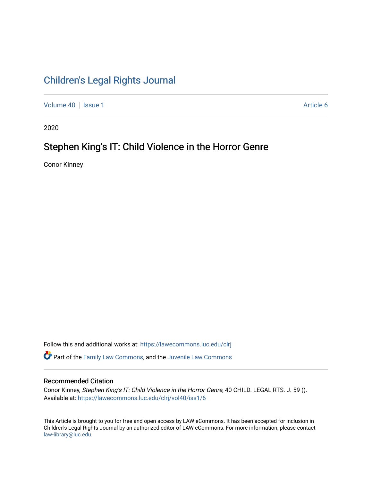# [Children's Legal Rights Journal](https://lawecommons.luc.edu/clrj)

[Volume 40](https://lawecommons.luc.edu/clrj/vol40) | [Issue 1](https://lawecommons.luc.edu/clrj/vol40/iss1) Article 6

2020

# Stephen King's IT: Child Violence in the Horror Genre

Conor Kinney

Follow this and additional works at: [https://lawecommons.luc.edu/clrj](https://lawecommons.luc.edu/clrj?utm_source=lawecommons.luc.edu%2Fclrj%2Fvol40%2Fiss1%2F6&utm_medium=PDF&utm_campaign=PDFCoverPages)

Part of the [Family Law Commons,](http://network.bepress.com/hgg/discipline/602?utm_source=lawecommons.luc.edu%2Fclrj%2Fvol40%2Fiss1%2F6&utm_medium=PDF&utm_campaign=PDFCoverPages) and the [Juvenile Law Commons](http://network.bepress.com/hgg/discipline/851?utm_source=lawecommons.luc.edu%2Fclrj%2Fvol40%2Fiss1%2F6&utm_medium=PDF&utm_campaign=PDFCoverPages) 

#### Recommended Citation

Conor Kinney, Stephen King's IT: Child Violence in the Horror Genre, 40 CHILD. LEGAL RTS. J. 59 (). Available at: [https://lawecommons.luc.edu/clrj/vol40/iss1/6](https://lawecommons.luc.edu/clrj/vol40/iss1/6?utm_source=lawecommons.luc.edu%2Fclrj%2Fvol40%2Fiss1%2F6&utm_medium=PDF&utm_campaign=PDFCoverPages) 

This Article is brought to you for free and open access by LAW eCommons. It has been accepted for inclusion in Children's Legal Rights Journal by an authorized editor of LAW eCommons. For more information, please contact [law-library@luc.edu](mailto:law-library@luc.edu).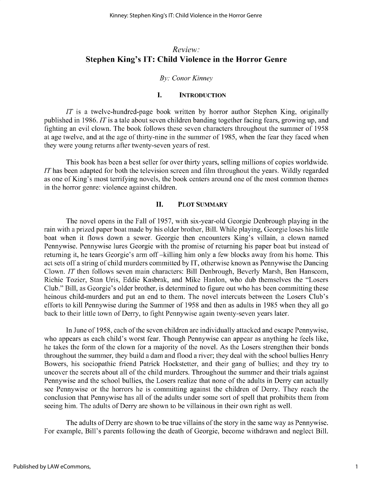### *Review:* **Stephen King's IT: Child Violence in the Horror Genre**

#### *By: Conor Kinney*

#### **I. INTRODUCTION**

*IT* is a twelve-hundred-page book written by horror author Stephen King, originally published in 1986. *IT* is a tale about seven children banding together facing fears, growing up, and fighting an evil clown. The book follows these seven characters throughout the summer of *1958* at age twelve, and at the age of thirty-nine in the summer of *1985,* when the fear they faced when they were young returns after twenty-seven years of rest.

This book has been a best seller for over thirty years, selling millions of copies worldwide. *IT* has been adapted for both the television screen and film throughout the years. Wildly regarded as one of King's most terrifying novels, the book centers around one of the most common themes in the horror genre: violence against children.

#### **II. PLOT SUMMARY**

The novel opens in the Fall of *1957,* with six-year-old Georgie Denbrough playing in the rain with a prized paper boat made by his older brother, Bill. While playing, Georgie **loses** his little boat when it flows down a sewer. Georgie then encounters King's villain, a clown named Pennywise. Pennywise lures Georgie with the promise of returning his paper boat but instead of returning it, he tears Georgie's arm off -killing him only a few blocks away from his home. This act sets off a string of child murders committed by IT, otherwise known as Pennywise the Dancing Clown. *IT* then follows seven main characters: Bill Denbrough, Beverly Marsh, Ben Hanscom, Richie Tozier, Stan Uris, Eddie Kasbrak, and Mike Hanlon, who dub themselves the "Losers Club." Bill, as Georgie's older brother, is determined to figure out who has been committing these heinous child-murders and put an end to them. The novel intercuts between the Losers Club's efforts to kill Pennywise during the Summer of 1958 and then as adults in 1985 when they all go back to their little town of Derry, to fight Pennywise again twenty-seven years later.

In June of 1958, each of the seven children are individually attacked and escape Pennywise, who appears as each child's worst fear. Though Pennywise can appear as anything he feels like, he takes the form of the clown for a majority of the novel. As the Losers strengthen their bonds throughout the summer, they build a dam and flood a river; they deal with the school bullies Henry Bowers, his sociopathic friend Patrick Hockstetter, and their gang of bullies; and they try to uncover the secrets about all of the child murders. Throughout the summer and their trials against Pennywise and the school bullies, the Losers realize that none of the adults in Derry can actually see Pennywise or the horrors he is committing against the children of Derry. They reach the conclusion that Pennywise has all of the adults under some sort of spell that prohibits them from **seeing** him. The adults of Derry are shown to be villainous in their own right as well.

The adults of Derry are shown to be true villains of the story in the same way as Pennywise. For example, Bill's parents following the death of Georgie, become withdrawn and neglect Bill.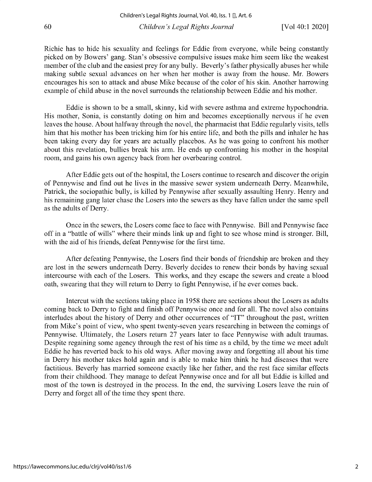Richie has to hide his sexuality and feelings for Eddie from everyone, while being constantly picked on by Bowers' gang. Stan's obsessive compulsive issues make him seem like the weakest member of the club and the easiest prey for any bully. Beverly's father physically abuses her while making subtle sexual advances on her when her mother is away from the house. Mr. Bowers encourages his son to attack and abuse Mike because of the color of his skin. Another harrowing example of child abuse in the novel surrounds the relationship between Eddie and his mother.

Eddie is shown to be a small, skinny, kid with severe asthma and extreme hypochondria. His mother, Sonia, is constantly doting on him and becomes exceptionally nervous if he even leaves the house. About halfway through the novel, the pharmacist that Eddie regularly visits, tells him that his mother has been tricking him for his entire life, and both the pills and inhaler he has been taking every day for years are actually placebos. As he was going to confront his mother about this revelation, bullies break his arm. He ends up confronting his mother in the hospital room, and gains his own agency back from her overbearing control.

After Eddie gets out of the hospital, the Losers continue to research and discover the origin of Pennywise and find out he lives in the massive sewer system underneath Derry. Meanwhile, Patrick, the sociopathic bully, is killed by Pennywise after sexually assaulting Henry. Henry and his remaining gang later chase the Losers into the sewers as they have fallen under the same spell as the adults of Derry.

Once in the sewers, the Losers come face to face with Pennywise. Bill and Pennywise face off in a "battle of wills" where their minds link up and fight to see whose mind is stronger. Bill, with the aid of his friends, defeat Pennywise for the first time.

After defeating Pennywise, the Losers find their bonds of friendship are broken and they are lost in the sewers underneath Derry. Beverly decides to renew their bonds by having sexual intercourse with each of the Losers. This works, and they escape the sewers and create a blood oath, swearing that they will return to Derry to fight Pennywise, if he ever comes back.

Intercut with the sections taking place in 1958 there are sections about the Losers as adults coming back to Derry to fight and finish off Pennywise once and for all. The novel also contains interludes about the history of Derry and other occurrences of "IT" throughout the past, written from Mike's point of view, who spent twenty-seven years researching in between the comings of Pennywise. Ultimately, the Losers return 27 years later to face Pennywise with adult traumas. Despite regaining some agency through the rest of his time as a child, by the time we meet adult Eddie he has reverted back to his old ways. After moving away and forgetting all about his time in Derry his mother takes hold again and is able to make him think he had diseases that were factitious. Beverly has married someone exactly like her father, and the rest face similar effects from their childhood. They manage to defeat Pennywise once and for all but Eddie is killed and most of the town is destroyed in the process. In the end, the surviving Losers leave the ruin of Derry and forget all of the time they spent there.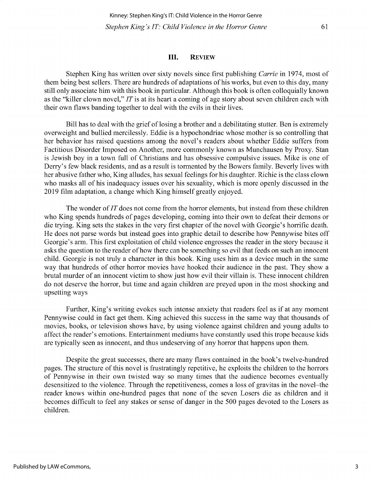### **III. REVIEW**

Stephen King has written over sixty novels since first publishing *Carrie* in 1974, most of them being best sellers. There are hundreds of adaptations of his works, but even to this day, many still only associate him with this book in particular. Although this book is often colloquially known as the "killer clown novel," *IT* is at its heart a coming of age story about seven children each with their own flaws banding together to deal with the evils in their lives.

**Bill has to deal with the grief of losing a brother and a debilitating stutter. Ben is extremely** overweight and bullied mercilessly. Eddie is a hypochondriac whose mother is so controlling that her behavior has raised questions among the novel's readers about whether Eddie suffers from **Factitious Disorder Imposed on Another, more commonly known as Munchausen by Proxy. Stan** is Jewish boy in a town full of Christians and has obsessive compulsive issues. Mike is one of Derry's few black residents, and as a result is tormented by the Bowers family. Beverly lives with her abusive father who, King alludes, has sexual feelings for his daughter. Richie is the class clown who masks all of his inadequacy issues over his sexuality, which is more openly discussed in the 2019 film adaptation, a change which King himself greatly enjoyed.

The wonder of *IT* does not come from the horror elements, but instead from these children who King spends hundreds of pages developing, coming into their own to defeat their demons or die trying. King sets the stakes in the very first chapter of the novel with Georgie's horrific death. **He does not parse words but instead goes into graphic detail to describe how Pennywise bites off** Georgie's arm. This first exploitation of child violence engrosses the reader in the story because it **asks the question to the reader of how there can be something so evil that feeds on such an innocent** child. Georgie is not truly a character in this book. King uses him as a device much in the same way that hundreds of other horror movies have hooked their audience in the past. They show a brutal murder of an innocent victim to show just how evil their villain is. These innocent children **do not deserve the horror, but time and again children are preyed upon in the most shocking and** upsetting ways

**Further, King's writing evokes such intense anxiety that readers feel as if at any moment** Pennywise could in fact get them. King achieved this success in the same way that thousands of movies, books, or television shows have, by using violence against children and young adults to **affect the reader's emotions. Entertainment mediums have constantly used this trope because kids are typically seen as innocent, and thus undeserving of any horror that happens upon them.**

Despite the great successes, there are many flaws contained in the book's twelve-hundred pages. The structure of this novel is frustratingly repetitive, he exploits the children to the horrors of Pennywise in their own twisted way so many times that the audience becomes eventually **desensitized to the violence. Through the repetitiveness, comes a loss of gravitas in the novel-the reader knows within one-hundred pages that none of the seven Losers die as children and it** becomes difficult to feel any stakes or sense of danger in the 500 pages devoted to the Losers as children.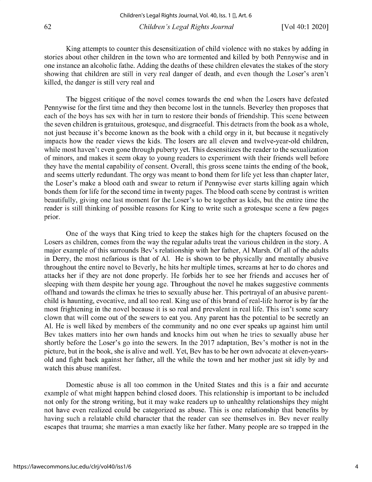King attempts to counter this desensitization of child violence with no stakes by adding in stories about other children in the town who are tormented and killed by both Pennywise and in one instance an alcoholic fathe. Adding the deaths of these children elevates the stakes of the story showing that children are still in very real danger of death, and even though the Loser's aren't killed, the danger is still very real and

The biggest critique of the novel comes towards the end when the Losers have defeated Pennywise for the first time and they then become lost in the tunnels. Beverley then proposes that each of the boys has sex with her in turn to restore their bonds of friendship. This scene between the seven children is gratuitous, grotesque, and disgraceful. This detracts from the book as a whole, not just because it's become known as the book with a child orgy in it, but because it negatively impacts how the reader views the kids. The losers are all eleven and twelve-year-old children, while most haven't even gone through puberty yet. This desensitizes the reader to the sexualization of minors, and makes it seem okay to young readers to experiment with their friends well before they have the mental capability of consent. Overall, this gross scene taints the ending of the book, and seems utterly redundant. The orgy was meant to bond them for life yet less than chapter later, the Loser's make a blood oath and swear to return if Pennywise ever starts killing again which bonds them for life for the second time in twenty pages. The blood oath scene by contrast is written beautifully, giving one last moment for the Loser's to be together as kids, but the entire time the reader is still thinking of possible reasons for King to write such a grotesque scene a few pages prior.

One of the ways that King tried to keep the stakes high for the chapters focused on the Losers as children, comes from the way the regular adults treat the various children in the story. A major example of this surrounds Bev's relationship with her father, Al Marsh. Of all of the adults in Derry, the most nefarious is that of Al. He is shown to be physically and mentally abusive throughout the entire novel to Beverly, he hits her multiple times, screams at her to do chores and attacks her if they are not done properly. He forbids her to see her friends and accuses her of sleeping with them despite her young age. Throughout the novel he makes suggestive comments offhand and towards the climax he tries to sexually abuse her. This portrayal of an abusive parentchild is haunting, evocative, and all too real. King use of this brand of real-life horror is by far the most frightening in the novel because it is so real and prevalent in real life. This isn't some scary clown that will come out of the sewers to eat you. Any parent has the potential to be secretly an Al. He is well liked by members of the community and no one ever speaks up against him until Bev takes matters into her own hands and knocks him out when he tries to sexually abuse her shortly before the Loser's go into the sewers. In the 2017 adaptation, Bev's mother is not in the picture, but in the book, she is alive and well. Yet, Bev has to be her own advocate at eleven-yearsold and fight back against her father, all the while the town and her mother just sit idly by and watch this abuse manifest.

Domestic abuse is all too common in the United States and this is a fair and accurate example of what might happen behind closed doors. This relationship is important to be included not only for the strong writing, but it may wake readers up to unhealthy relationships they might not have even realized could be categorized as abuse. This is one relationship that benefits by having such a relatable child character that the reader can see themselves in. Bev never really escapes that trauma; she marries a man exactly like her father. Many people are so trapped in the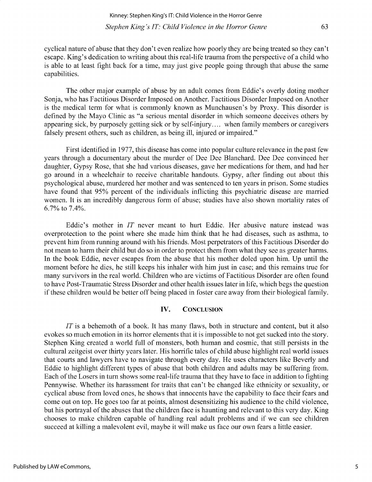cyclical nature of abuse that they don't even realize how poorly they are being treated so they can't escape. King's dedication to writing about this real-life trauma from the perspective of a child who is able to at least fight back for a time, may just give people going through that abuse the same capabilities.

The other major example of abuse by an adult comes from Eddie's overly doting mother Sonja, who has Factitious Disorder Imposed on Another. Factitious Disorder Imposed on Another is the medical term for what is commonly known as Munchausen's by Proxy. This disorder is defined by the Mayo Clinic as "a serious mental disorder in which someone deceives others by appearing sick, by purposely getting sick or by self-injury.... when family members or caregivers falsely present others, such as children, as being ill, injured or impaired."

First identified in 1977, this disease has come into popular culture relevance in the past few years through a documentary about the murder of Dee Dee Blanchard. Dee Dee convinced her daughter, Gypsy Rose, that she had various diseases, gave her medications for them, and had her go around in a wheelchair to receive charitable handouts. Gypsy, after finding out about this psychological abuse, murdered her mother and was sentenced to ten years in prison. Some studies have found that *95%* percent of the individuals inflicting this psychiatric disease are married women. It is an incredibly dangerous form of abuse; studies have also shown mortality rates of 6.7% to 7.4%.

Eddie's mother in *IT* never meant to hurt Eddie. Her abusive nature instead was overprotection to the point where she made him think that he had diseases, such as asthma, to prevent him from running around with his friends. Most perpetrators of this Factitious Disorder do not mean to harm their child but do so in order to protect them from what they see as greater harms. In the book Eddie, never escapes from the abuse that his mother doled upon him. Up until the moment before he dies, he still keeps his inhaler with him just in case; and this remains true for many survivors in the real world. Children who are victims of Factitious Disorder are often found to have Post-Traumatic Stress Disorder and other health issues later in life, which begs the question if these children would be better off being placed in foster care away from their biological family.

#### **IV. CONCLUSION**

*IT* is a behemoth of a book. It has many flaws, both in structure and content, but it also evokes so much emotion in its horror elements that it is impossible to not get sucked into the story. Stephen King created a world full of monsters, both human and cosmic, that still persists in the cultural zeitgeist over thirty years later. His horrific tales of child abuse highlight real world issues that courts and lawyers have to navigate through every day. He uses characters like Beverly and Eddie to highlight different types of abuse that both children and adults may be suffering from. Each of the Losers in turn shows some real-life trauma that they have to face in addition to fighting Pennywise. Whether its harassment for traits that can't be changed like ethnicity or sexuality, or cyclical abuse from loved ones, he shows that innocents have the capability to face their fears and come out on top. He goes too far at points, almost desensitizing his audience to the child violence, but his portrayal of the abuses that the children face is haunting and relevant to this very day. King chooses to make children capable of handling real adult problems and if we can see children succeed at killing a malevolent evil, maybe it will make us face our own fears a little easier.